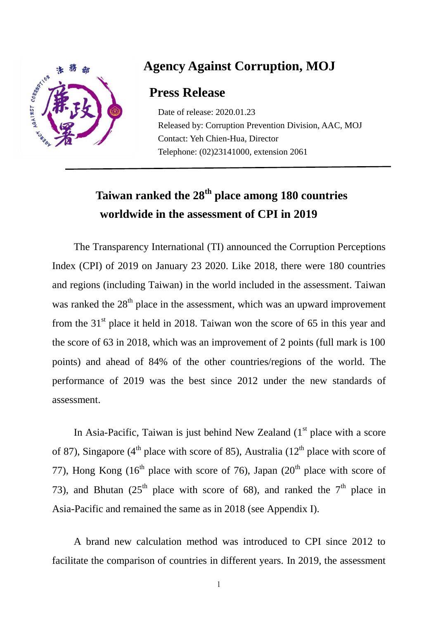

### **Agency Against Corruption, MOJ**

#### **Press Release**

Date of release: 2020.01.23 Released by: Corruption Prevention Division, AAC, MOJ Contact: Yeh Chien-Hua, Director Telephone: (02)23141000, extension 2061

# **Taiwan ranked the 28th place among 180 countries worldwide in the assessment of CPI in 2019**

The Transparency International (TI) announced the Corruption Perceptions Index (CPI) of 2019 on January 23 2020. Like 2018, there were 180 countries and regions (including Taiwan) in the world included in the assessment. Taiwan was ranked the  $28<sup>th</sup>$  place in the assessment, which was an upward improvement from the  $31<sup>st</sup>$  place it held in 2018. Taiwan won the score of 65 in this year and the score of 63 in 2018, which was an improvement of 2 points (full mark is 100 points) and ahead of 84% of the other countries/regions of the world. The performance of 2019 was the best since 2012 under the new standards of assessment.

In Asia-Pacific, Taiwan is just behind New Zealand  $(1<sup>st</sup>$  place with a score of 87), Singapore (4<sup>th</sup> place with score of 85), Australia (12<sup>th</sup> place with score of 77), Hong Kong  $(16<sup>th</sup>$  place with score of 76), Japan  $(20<sup>th</sup>$  place with score of 73), and Bhutan (25<sup>th</sup> place with score of 68), and ranked the  $7<sup>th</sup>$  place in Asia-Pacific and remained the same as in 2018 (see Appendix I).

A brand new calculation method was introduced to CPI since 2012 to facilitate the comparison of countries in different years. In 2019, the assessment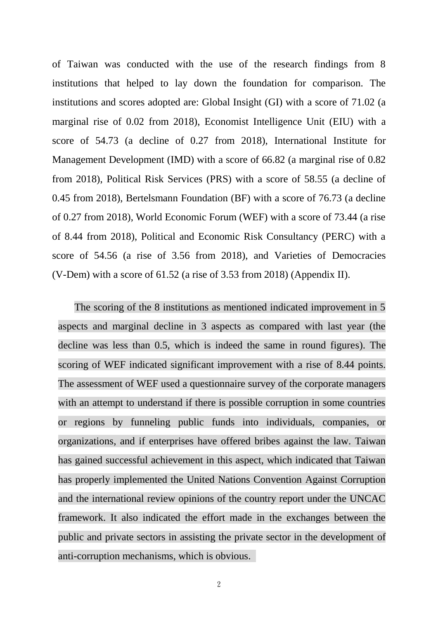of Taiwan was conducted with the use of the research findings from 8 institutions that helped to lay down the foundation for comparison. The institutions and scores adopted are: Global Insight (GI) with a score of 71.02 (a marginal rise of 0.02 from 2018), Economist Intelligence Unit (EIU) with a score of 54.73 (a decline of 0.27 from 2018), International Institute for Management Development (IMD) with a score of 66.82 (a marginal rise of 0.82 from 2018), Political Risk Services (PRS) with a score of 58.55 (a decline of 0.45 from 2018), Bertelsmann Foundation (BF) with a score of 76.73 (a decline of 0.27 from 2018), World Economic Forum (WEF) with a score of 73.44 (a rise of 8.44 from 2018), Political and Economic Risk Consultancy (PERC) with a score of 54.56 (a rise of 3.56 from 2018), and Varieties of Democracies (V-Dem) with a score of 61.52 (a rise of 3.53 from 2018) (Appendix II).

The scoring of the 8 institutions as mentioned indicated improvement in 5 aspects and marginal decline in 3 aspects as compared with last year (the decline was less than 0.5, which is indeed the same in round figures). The scoring of WEF indicated significant improvement with a rise of 8.44 points. The assessment of WEF used a questionnaire survey of the corporate managers with an attempt to understand if there is possible corruption in some countries or regions by funneling public funds into individuals, companies, or organizations, and if enterprises have offered bribes against the law. Taiwan has gained successful achievement in this aspect, which indicated that Taiwan has properly implemented the United Nations Convention Against Corruption and the international review opinions of the country report under the UNCAC framework. It also indicated the effort made in the exchanges between the public and private sectors in assisting the private sector in the development of anti-corruption mechanisms, which is obvious.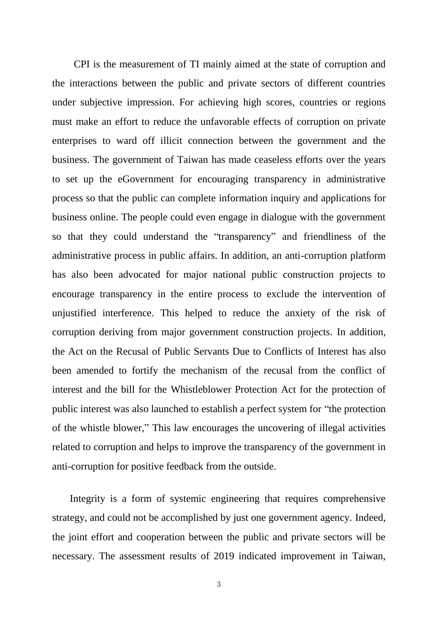CPI is the measurement of TI mainly aimed at the state of corruption and the interactions between the public and private sectors of different countries under subjective impression. For achieving high scores, countries or regions must make an effort to reduce the unfavorable effects of corruption on private enterprises to ward off illicit connection between the government and the business. The government of Taiwan has made ceaseless efforts over the years to set up the eGovernment for encouraging transparency in administrative process so that the public can complete information inquiry and applications for business online. The people could even engage in dialogue with the government so that they could understand the "transparency" and friendliness of the administrative process in public affairs. In addition, an anti-corruption platform has also been advocated for major national public construction projects to encourage transparency in the entire process to exclude the intervention of unjustified interference. This helped to reduce the anxiety of the risk of corruption deriving from major government construction projects. In addition, the Act on the Recusal of Public Servants Due to Conflicts of Interest has also been amended to fortify the mechanism of the recusal from the conflict of interest and the bill for the Whistleblower Protection Act for the protection of public interest was also launched to establish a perfect system for "the protection of the whistle blower," This law encourages the uncovering of illegal activities related to corruption and helps to improve the transparency of the government in anti-corruption for positive feedback from the outside.

Integrity is a form of systemic engineering that requires comprehensive strategy, and could not be accomplished by just one government agency. Indeed, the joint effort and cooperation between the public and private sectors will be necessary. The assessment results of 2019 indicated improvement in Taiwan,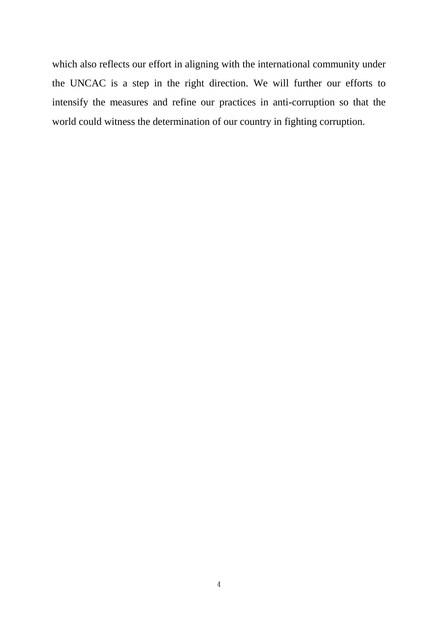which also reflects our effort in aligning with the international community under the UNCAC is a step in the right direction. We will further our efforts to intensify the measures and refine our practices in anti-corruption so that the world could witness the determination of our country in fighting corruption.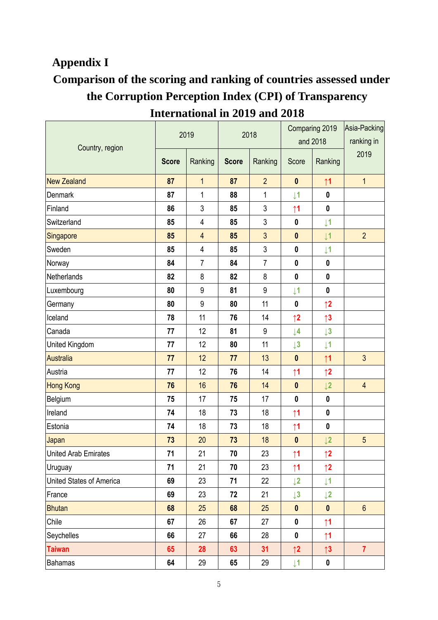#### **Appendix I**

## **Comparison of the scoring and ranking of countries assessed under the Corruption Perception Index (CPI) of Transparency International in 2019 and 2018**

|                          | 2019         |                | 2018         |                | Comparing 2019<br>and 2018 |                | Asia-Packing<br>ranking in |
|--------------------------|--------------|----------------|--------------|----------------|----------------------------|----------------|----------------------------|
| Country, region          | <b>Score</b> | Ranking        | <b>Score</b> | Ranking        | Score                      | Ranking        | 2019                       |
| <b>New Zealand</b>       | 87           | $\mathbf{1}$   | 87           | $\overline{2}$ | $\mathbf 0$                | $\uparrow$ 1   | $\overline{1}$             |
| <b>Denmark</b>           | 87           | $\mathbf{1}$   | 88           | $\mathbf 1$    | $\downarrow$ 1             | $\mathbf{0}$   |                            |
| Finland                  | 86           | 3              | 85           | 3              | $\uparrow$ 1               | $\pmb{0}$      |                            |
| Switzerland              | 85           | 4              | 85           | $\mathfrak{Z}$ | $\bf{0}$                   | $\downarrow$ 1 |                            |
| Singapore                | 85           | $\overline{4}$ | 85           | 3              | $\mathbf{0}$               | $\downarrow$ 1 | $\overline{2}$             |
| Sweden                   | 85           | 4              | 85           | $\mathfrak{Z}$ | $\pmb{0}$                  | $\downarrow$ 1 |                            |
| Norway                   | 84           | $\overline{7}$ | 84           | $\overline{7}$ | $\mathbf 0$                | $\pmb{0}$      |                            |
| Netherlands              | 82           | 8              | 82           | 8              | $\mathbf 0$                | $\mathbf 0$    |                            |
| Luxembourg               | 80           | 9              | 81           | 9              | $\downarrow$ 1             | $\pmb{0}$      |                            |
| Germany                  | 80           | 9              | 80           | 11             | $\mathbf 0$                | $\uparrow$ 2   |                            |
| Iceland                  | 78           | 11             | 76           | 14             | $\uparrow$ 2               | $\uparrow$ 3   |                            |
| Canada                   | 77           | 12             | 81           | 9              | $\downarrow$ 4             | $\downarrow$ 3 |                            |
| United Kingdom           | 77           | 12             | 80           | 11             | $\downarrow$ 3             | $\downarrow$ 1 |                            |
| <b>Australia</b>         | 77           | 12             | 77           | 13             | $\mathbf{0}$               | $\uparrow$ 1   | $\overline{3}$             |
| Austria                  | 77           | 12             | 76           | 14             | $\uparrow$ 1               | $\uparrow$ 2   |                            |
| <b>Hong Kong</b>         | 76           | 16             | 76           | 14             | $\mathbf 0$                | $\downarrow$ 2 | $\overline{4}$             |
| Belgium                  | 75           | 17             | 75           | 17             | $\mathbf 0$                | $\pmb{0}$      |                            |
| Ireland                  | 74           | 18             | 73           | 18             | $\uparrow$ 1               | $\pmb{0}$      |                            |
| Estonia                  | 74           | 18             | 73           | 18             | $\uparrow$ 1               | $\pmb{0}$      |                            |
| Japan                    | 73           | 20             | 73           | 18             | $\bf{0}$                   | $\downarrow$ 2 | $\overline{5}$             |
| United Arab Emirates     | 71           | 21             | 70           | 23             | $\uparrow$ 1               | $\uparrow$ 2   |                            |
| Uruguay                  | 71           | 21             | 70           | 23             | $\uparrow$ 1               | $\uparrow$ 2   |                            |
| United States of America | 69           | 23             | 71           | 22             | $\downarrow$ 2             | $\downarrow$ 1 |                            |
| France                   | 69           | 23             | 72           | 21             | $\downarrow$ 3             | $\downarrow$ 2 |                            |
| <b>Bhutan</b>            | 68           | 25             | 68           | 25             | $\mathbf 0$                | $\mathbf 0$    | $\boldsymbol{6}$           |
| Chile                    | 67           | 26             | 67           | 27             | $\pmb{0}$                  | $\uparrow$ 1   |                            |
| Seychelles               | 66           | 27             | 66           | 28             | $\pmb{0}$                  | $\uparrow$ 1   |                            |
| <b>Taiwan</b>            | 65           | 28             | 63           | 31             | $\uparrow$ 2               | $\uparrow$ 3   | $\overline{7}$             |
| <b>Bahamas</b>           | 64           | 29             | 65           | 29             | $\downarrow$ 1             | $\pmb{0}$      |                            |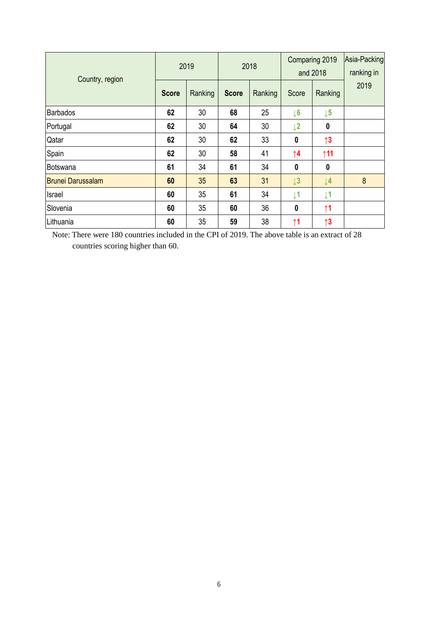| Country, region          | 2019         |         | 2018         |         | Comparing 2019<br>and 2018 |                | Asia-Packing<br>ranking in |
|--------------------------|--------------|---------|--------------|---------|----------------------------|----------------|----------------------------|
|                          | <b>Score</b> | Ranking | <b>Score</b> | Ranking | Score                      | Ranking        | 2019                       |
| Barbados                 | 62           | 30      | 68           | 25      | $\downarrow$ 6             | $\downarrow$ 5 |                            |
| Portugal                 | 62           | 30      | 64           | 30      | $\downarrow$ 2             | 0              |                            |
| Qatar                    | 62           | 30      | 62           | 33      | 0                          | $\uparrow$ 3   |                            |
| Spain                    | 62           | 30      | 58           | 41      | $\uparrow$ 4               | $\uparrow$ 11  |                            |
| Botswana                 | 61           | 34      | 61           | 34      | $\boldsymbol{0}$           | 0              |                            |
| <b>Brunei Darussalam</b> | 60           | 35      | 63           | 31      | $\downarrow$ 3             | $\downarrow$ 4 | 8                          |
| Israel                   | 60           | 35      | 61           | 34      | $\downarrow$ 1             | $\downarrow$ 1 |                            |
| Slovenia                 | 60           | 35      | 60           | 36      | $\mathbf{0}$               | $\uparrow$ 1   |                            |
| Lithuania                | 60           | 35      | 59           | 38      | $\uparrow$ 1               | $\uparrow$ 3   |                            |

Note: There were 180 countries included in the CPI of 2019. The above table is an extract of 28 countries scoring higher than 60.